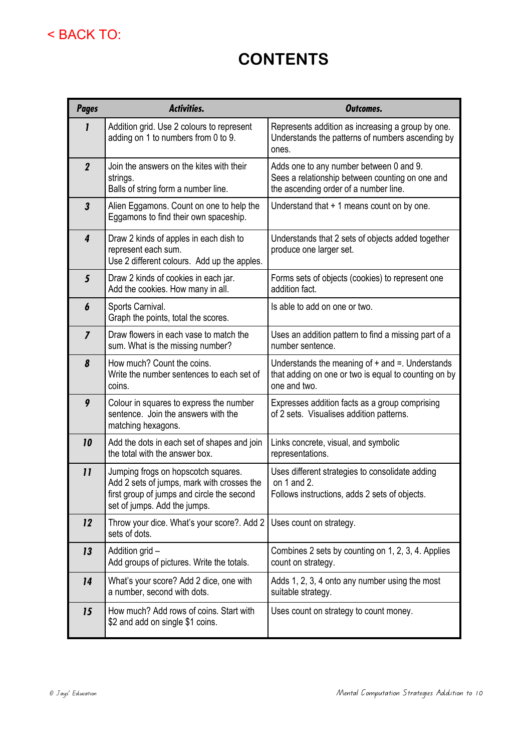## < BACK TO:

## **CONTENTS**

| <b>Pages</b>               | Activities.                                                                                                                                                     | <b>Outcomes.</b>                                                                                                                    |  |  |  |  |
|----------------------------|-----------------------------------------------------------------------------------------------------------------------------------------------------------------|-------------------------------------------------------------------------------------------------------------------------------------|--|--|--|--|
| $\mathbf{I}$               | Addition grid. Use 2 colours to represent<br>adding on 1 to numbers from 0 to 9.                                                                                | Represents addition as increasing a group by one.<br>Understands the patterns of numbers ascending by<br>ones.                      |  |  |  |  |
| $\boldsymbol{2}$           | Join the answers on the kites with their<br>strings.<br>Balls of string form a number line.                                                                     | Adds one to any number between 0 and 9.<br>Sees a relationship between counting on one and<br>the ascending order of a number line. |  |  |  |  |
| $\boldsymbol{\mathcal{S}}$ | Alien Eggamons. Count on one to help the<br>Eggamons to find their own spaceship.                                                                               | Understand that + 1 means count on by one.                                                                                          |  |  |  |  |
| $\overline{\mathbf{4}}$    | Draw 2 kinds of apples in each dish to<br>represent each sum.<br>Use 2 different colours. Add up the apples.                                                    | Understands that 2 sets of objects added together<br>produce one larger set.                                                        |  |  |  |  |
| 5                          | Draw 2 kinds of cookies in each jar.<br>Add the cookies. How many in all.                                                                                       | Forms sets of objects (cookies) to represent one<br>addition fact.                                                                  |  |  |  |  |
| 6                          | Sports Carnival.<br>Graph the points, total the scores.                                                                                                         | Is able to add on one or two.                                                                                                       |  |  |  |  |
| $\overline{I}$             | Draw flowers in each vase to match the<br>sum. What is the missing number?                                                                                      | Uses an addition pattern to find a missing part of a<br>number sentence.                                                            |  |  |  |  |
| 8                          | How much? Count the coins.<br>Write the number sentences to each set of<br>coins.                                                                               | Understands the meaning of $+$ and $=$ . Understands<br>that adding on one or two is equal to counting on by<br>one and two.        |  |  |  |  |
| 9                          | Colour in squares to express the number<br>sentence. Join the answers with the<br>matching hexagons.                                                            | Expresses addition facts as a group comprising<br>of 2 sets. Visualises addition patterns.                                          |  |  |  |  |
| 10                         | Add the dots in each set of shapes and join<br>the total with the answer box.                                                                                   | Links concrete, visual, and symbolic<br>representations.                                                                            |  |  |  |  |
| $\boldsymbol{\mathsf{11}}$ | Jumping frogs on hopscotch squares.<br>Add 2 sets of jumps, mark with crosses the<br>first group of jumps and circle the second<br>set of jumps. Add the jumps. | Uses different strategies to consolidate adding<br>on $1$ and $2$ .<br>Follows instructions, adds 2 sets of objects.                |  |  |  |  |
| 12                         | Throw your dice. What's your score?. Add 2<br>sets of dots.                                                                                                     | Uses count on strategy.                                                                                                             |  |  |  |  |
| 13                         | Addition grid -<br>Add groups of pictures. Write the totals.                                                                                                    | Combines 2 sets by counting on 1, 2, 3, 4. Applies<br>count on strategy.                                                            |  |  |  |  |
| 14                         | What's your score? Add 2 dice, one with<br>a number, second with dots.                                                                                          | Adds 1, 2, 3, 4 onto any number using the most<br>suitable strategy.                                                                |  |  |  |  |
| 15                         | How much? Add rows of coins. Start with<br>\$2 and add on single \$1 coins.                                                                                     | Uses count on strategy to count money.                                                                                              |  |  |  |  |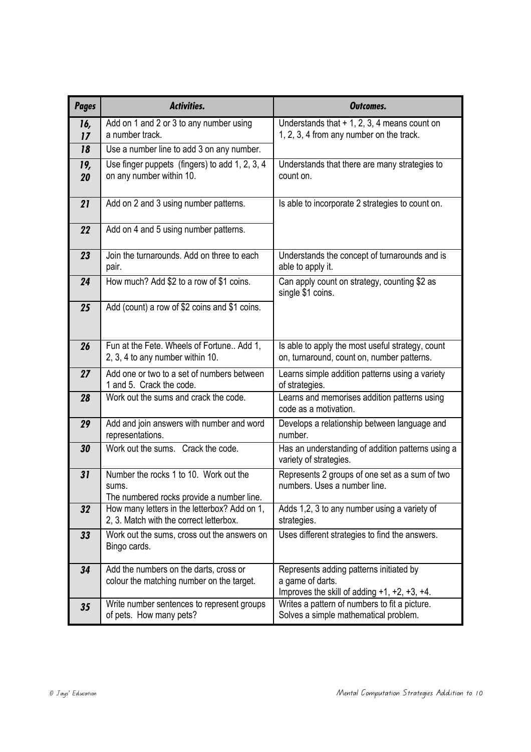| <b>Pages</b> | Activities.                                                                                                   | Outcomes.                                                                                                               |  |  |  |  |  |
|--------------|---------------------------------------------------------------------------------------------------------------|-------------------------------------------------------------------------------------------------------------------------|--|--|--|--|--|
| 16,<br>17    | Add on 1 and 2 or 3 to any number using<br>a number track.                                                    | Understands that $+ 1$ , 2, 3, 4 means count on<br>1, 2, 3, 4 from any number on the track.                             |  |  |  |  |  |
| 18           | Use a number line to add 3 on any number.                                                                     |                                                                                                                         |  |  |  |  |  |
| 19,<br>20    | Use finger puppets (fingers) to add 1, 2, 3, 4<br>on any number within 10.                                    | Understands that there are many strategies to<br>count on.                                                              |  |  |  |  |  |
| 21           | Add on 2 and 3 using number patterns.                                                                         | Is able to incorporate 2 strategies to count on.                                                                        |  |  |  |  |  |
| 22           | Add on 4 and 5 using number patterns.                                                                         |                                                                                                                         |  |  |  |  |  |
| 23           | Join the turnarounds. Add on three to each<br>pair.                                                           | Understands the concept of turnarounds and is<br>able to apply it.                                                      |  |  |  |  |  |
| 24           | How much? Add \$2 to a row of \$1 coins.<br>Can apply count on strategy, counting \$2 as<br>single \$1 coins. |                                                                                                                         |  |  |  |  |  |
| 25           | Add (count) a row of \$2 coins and \$1 coins.                                                                 |                                                                                                                         |  |  |  |  |  |
| 26           | Fun at the Fete. Wheels of Fortune Add 1,<br>2, 3, 4 to any number within 10.                                 | Is able to apply the most useful strategy, count<br>on, turnaround, count on, number patterns.                          |  |  |  |  |  |
| 27           | Add one or two to a set of numbers between<br>1 and 5. Crack the code.                                        | Learns simple addition patterns using a variety<br>of strategies.                                                       |  |  |  |  |  |
| 28           | Work out the sums and crack the code.                                                                         | Learns and memorises addition patterns using<br>code as a motivation.                                                   |  |  |  |  |  |
| 29           | Add and join answers with number and word<br>representations.                                                 | Develops a relationship between language and<br>number.                                                                 |  |  |  |  |  |
| 30           | Work out the sums. Crack the code.                                                                            | Has an understanding of addition patterns using a<br>variety of strategies.                                             |  |  |  |  |  |
| 31           | Number the rocks 1 to 10. Work out the<br>sums.<br>The numbered rocks provide a number line.                  | Represents 2 groups of one set as a sum of two<br>numbers. Uses a number line.                                          |  |  |  |  |  |
| 32           | How many letters in the letterbox? Add on 1,<br>2, 3. Match with the correct letterbox.                       | Adds 1,2, 3 to any number using a variety of<br>strategies.                                                             |  |  |  |  |  |
| 33           | Work out the sums, cross out the answers on<br>Bingo cards.                                                   | Uses different strategies to find the answers.                                                                          |  |  |  |  |  |
| 34           | Add the numbers on the darts, cross or<br>colour the matching number on the target.                           | Represents adding patterns initiated by<br>a game of darts.<br>Improves the skill of adding $+1$ , $+2$ , $+3$ , $+4$ . |  |  |  |  |  |
| 35           | Write number sentences to represent groups<br>of pets. How many pets?                                         | Writes a pattern of numbers to fit a picture.<br>Solves a simple mathematical problem.                                  |  |  |  |  |  |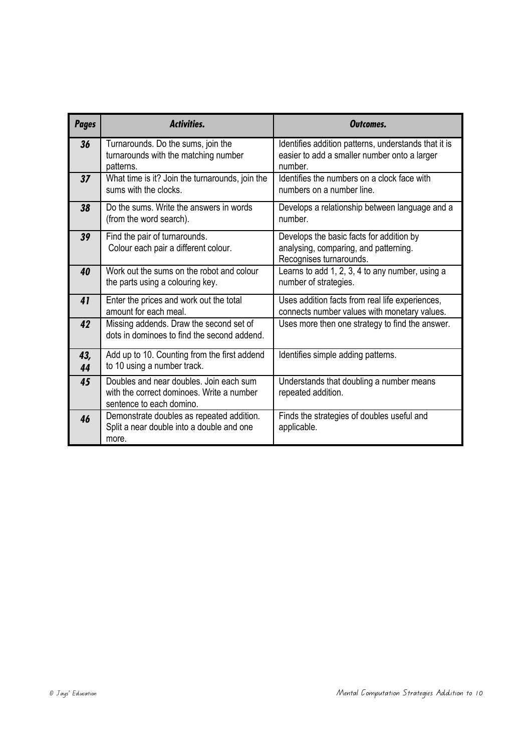| <b>Pages</b> | <b>Activities.</b>                                                                                               | Outcomes.                                                                                                       |  |  |  |  |  |
|--------------|------------------------------------------------------------------------------------------------------------------|-----------------------------------------------------------------------------------------------------------------|--|--|--|--|--|
| 36           | Turnarounds. Do the sums, join the<br>turnarounds with the matching number<br>patterns.                          | Identifies addition patterns, understands that it is<br>easier to add a smaller number onto a larger<br>number. |  |  |  |  |  |
| 37           | What time is it? Join the turnarounds, join the<br>sums with the clocks.                                         | Identifies the numbers on a clock face with<br>numbers on a number line.                                        |  |  |  |  |  |
| 38           | Do the sums. Write the answers in words<br>(from the word search).                                               | Develops a relationship between language and a<br>number.                                                       |  |  |  |  |  |
| 39           | Find the pair of turnarounds.<br>Colour each pair a different colour.                                            | Develops the basic facts for addition by<br>analysing, comparing, and patterning.<br>Recognises turnarounds.    |  |  |  |  |  |
| 40           | Work out the sums on the robot and colour<br>the parts using a colouring key.                                    | Learns to add 1, 2, 3, 4 to any number, using a<br>number of strategies.                                        |  |  |  |  |  |
| 41           | Enter the prices and work out the total<br>amount for each meal.                                                 | Uses addition facts from real life experiences,<br>connects number values with monetary values.                 |  |  |  |  |  |
| 42           | Missing addends. Draw the second set of<br>dots in dominoes to find the second addend.                           | Uses more then one strategy to find the answer.                                                                 |  |  |  |  |  |
| 43,<br>44    | Add up to 10. Counting from the first addend<br>to 10 using a number track.                                      | Identifies simple adding patterns.                                                                              |  |  |  |  |  |
| 45           | Doubles and near doubles. Join each sum<br>with the correct dominoes. Write a number<br>sentence to each domino. | Understands that doubling a number means<br>repeated addition.                                                  |  |  |  |  |  |
| 46           | Demonstrate doubles as repeated addition.<br>Split a near double into a double and one<br>more.                  | Finds the strategies of doubles useful and<br>applicable.                                                       |  |  |  |  |  |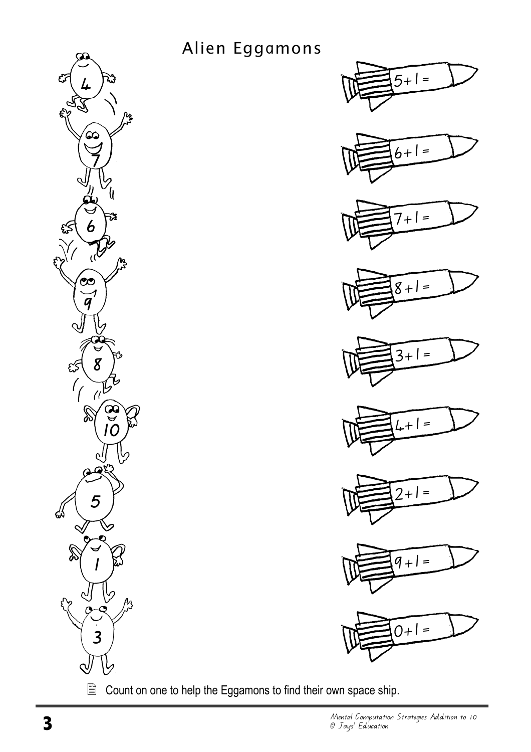

Alien Eggamons



Count on one to help the Eggamons to find their own space ship.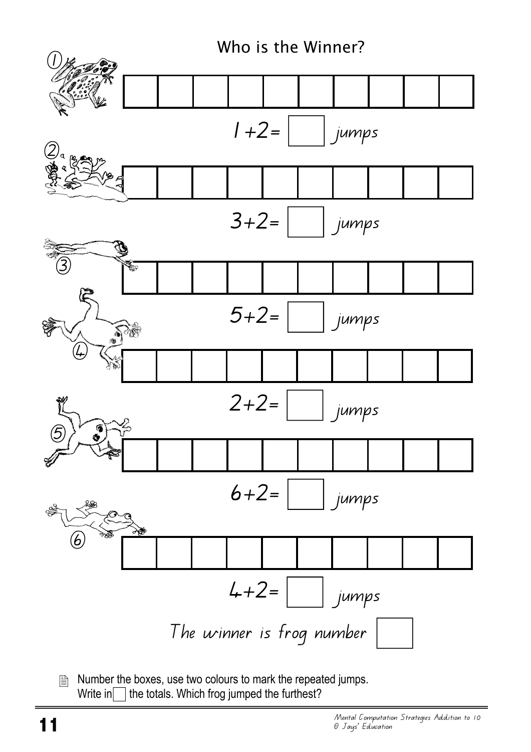

圕 Number the boxes, use two colours to mark the repeated jumps. Write in  $\Box$  the totals. Which frog jumped the furthest?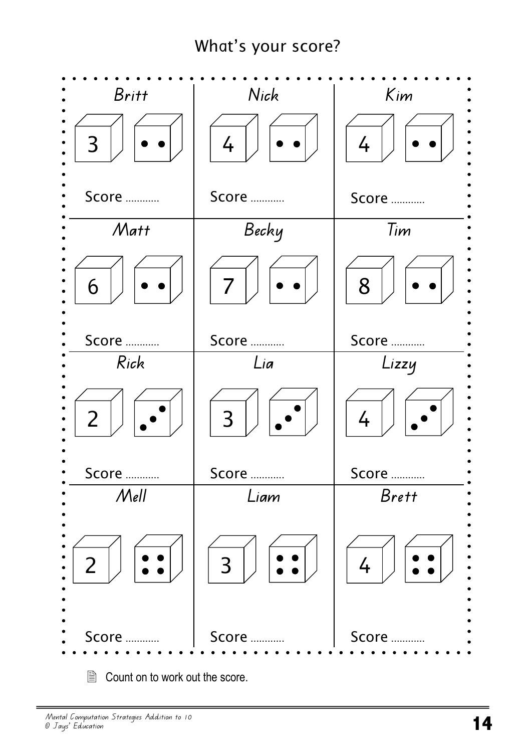## What's your score?



**■ Count on to work out the score.**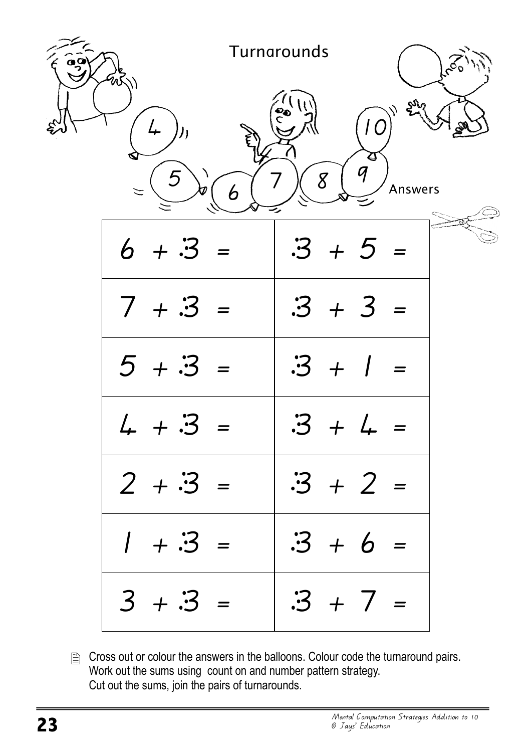|        |         |           |   | Turnarounds |                 | $s^{60}$       |                                                  |         |  |  |
|--------|---------|-----------|---|-------------|-----------------|----------------|--------------------------------------------------|---------|--|--|
|        |         | ));       |   |             | ်<br>၁၉)<br>(၂) | 8 <sup>8</sup> | l O<br>$\boldsymbol{\Theta}$<br>$\boldsymbol{q}$ |         |  |  |
| $\leq$ |         |           | 6 |             |                 |                |                                                  | Answers |  |  |
|        | $6 + 3$ |           |   |             | $\cdot 3 + 5 =$ |                |                                                  |         |  |  |
|        |         | $7 + 3 =$ |   |             | $.3 + 3 =$      |                |                                                  |         |  |  |
|        | $5 + 3$ |           |   |             | $\cdot 3 + 1$   |                |                                                  |         |  |  |
|        |         |           |   |             |                 |                |                                                  |         |  |  |
|        |         | $2 + 3 =$ |   |             | $\cdot 3 + 2 =$ |                |                                                  |         |  |  |
|        |         | $1 + 3 =$ |   |             | $\cdot 3 + 6 =$ |                |                                                  |         |  |  |
|        |         | $3 + 3 =$ |   |             | $\cdot 3 + 7 =$ |                |                                                  |         |  |  |

**B** Cross out or colour the answers in the balloons. Colour code the turnaround pairs. Work out the sums using count on and number pattern strategy. Cut out the sums, join the pairs of turnarounds.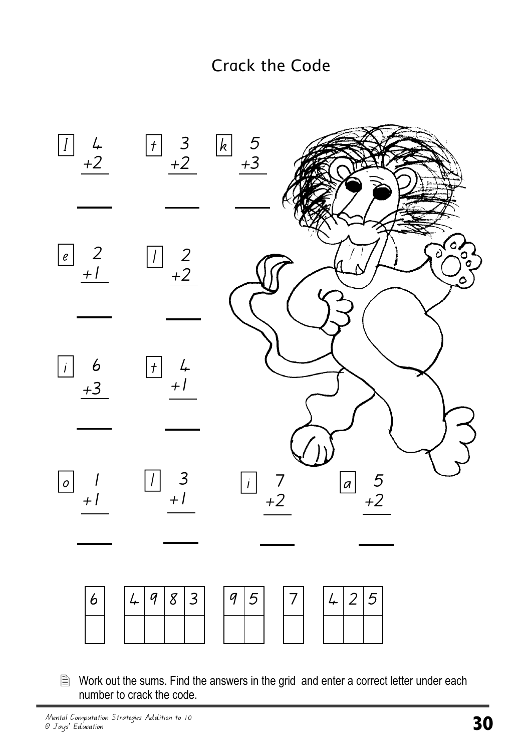

**■ Work out the sums. Find the answers in the grid and enter a correct letter under each** number to crack the code.